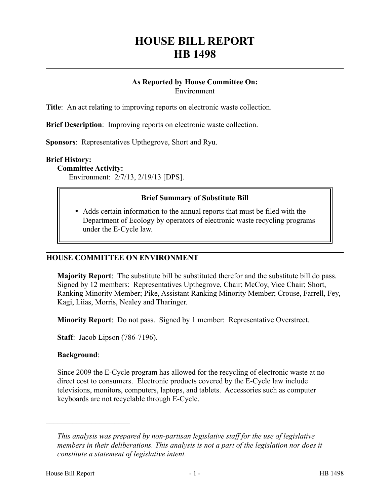# **HOUSE BILL REPORT HB 1498**

### **As Reported by House Committee On:** Environment

**Title**: An act relating to improving reports on electronic waste collection.

**Brief Description**: Improving reports on electronic waste collection.

**Sponsors**: Representatives Upthegrove, Short and Ryu.

#### **Brief History:**

**Committee Activity:**

Environment: 2/7/13, 2/19/13 [DPS].

## **Brief Summary of Substitute Bill**

 Adds certain information to the annual reports that must be filed with the Department of Ecology by operators of electronic waste recycling programs under the E-Cycle law.

#### **HOUSE COMMITTEE ON ENVIRONMENT**

**Majority Report**: The substitute bill be substituted therefor and the substitute bill do pass. Signed by 12 members: Representatives Upthegrove, Chair; McCoy, Vice Chair; Short, Ranking Minority Member; Pike, Assistant Ranking Minority Member; Crouse, Farrell, Fey, Kagi, Liias, Morris, Nealey and Tharinger.

**Minority Report**: Do not pass. Signed by 1 member: Representative Overstreet.

**Staff**: Jacob Lipson (786-7196).

#### **Background**:

––––––––––––––––––––––

Since 2009 the E-Cycle program has allowed for the recycling of electronic waste at no direct cost to consumers. Electronic products covered by the E-Cycle law include televisions, monitors, computers, laptops, and tablets. Accessories such as computer keyboards are not recyclable through E-Cycle.

*This analysis was prepared by non-partisan legislative staff for the use of legislative members in their deliberations. This analysis is not a part of the legislation nor does it constitute a statement of legislative intent.*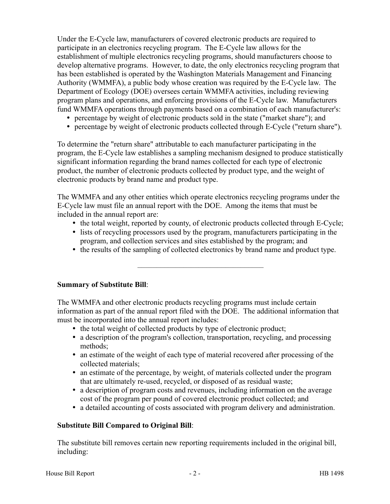Under the E-Cycle law, manufacturers of covered electronic products are required to participate in an electronics recycling program. The E-Cycle law allows for the establishment of multiple electronics recycling programs, should manufacturers choose to develop alternative programs. However, to date, the only electronics recycling program that has been established is operated by the Washington Materials Management and Financing Authority (WMMFA), a public body whose creation was required by the E-Cycle law. The Department of Ecology (DOE) oversees certain WMMFA activities, including reviewing program plans and operations, and enforcing provisions of the E-Cycle law. Manufacturers fund WMMFA operations through payments based on a combination of each manufacturer's:

- percentage by weight of electronic products sold in the state ("market share"); and
- percentage by weight of electronic products collected through E-Cycle ("return share").

To determine the "return share" attributable to each manufacturer participating in the program, the E-Cycle law establishes a sampling mechanism designed to produce statistically significant information regarding the brand names collected for each type of electronic product, the number of electronic products collected by product type, and the weight of electronic products by brand name and product type.

The WMMFA and any other entities which operate electronics recycling programs under the E-Cycle law must file an annual report with the DOE. Among the items that must be included in the annual report are:

- the total weight, reported by county, of electronic products collected through E-Cycle;
- lists of recycling processors used by the program, manufacturers participating in the program, and collection services and sites established by the program; and
- the results of the sampling of collected electronics by brand name and product type.

–––––––––––––––––––––––––––––––––

#### **Summary of Substitute Bill**:

The WMMFA and other electronic products recycling programs must include certain information as part of the annual report filed with the DOE. The additional information that must be incorporated into the annual report includes:

- the total weight of collected products by type of electronic product;
- a description of the program's collection, transportation, recycling, and processing methods;
- an estimate of the weight of each type of material recovered after processing of the collected materials;
- an estimate of the percentage, by weight, of materials collected under the program that are ultimately re-used, recycled, or disposed of as residual waste;
- a description of program costs and revenues, including information on the average cost of the program per pound of covered electronic product collected; and
- a detailed accounting of costs associated with program delivery and administration.

#### **Substitute Bill Compared to Original Bill**:

The substitute bill removes certain new reporting requirements included in the original bill, including: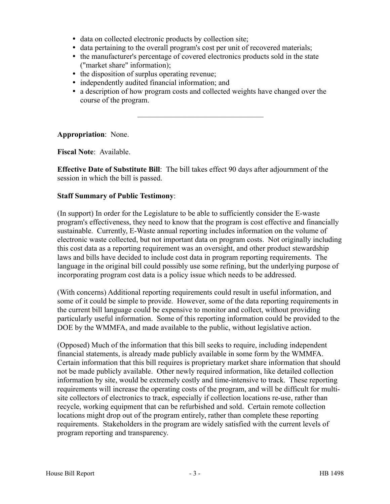- data on collected electronic products by collection site;
- data pertaining to the overall program's cost per unit of recovered materials;
- the manufacturer's percentage of covered electronics products sold in the state ("market share" information);
- the disposition of surplus operating revenue;
- independently audited financial information; and
- a description of how program costs and collected weights have changed over the course of the program.

–––––––––––––––––––––––––––––––––

**Appropriation**: None.

**Fiscal Note**: Available.

**Effective Date of Substitute Bill**: The bill takes effect 90 days after adjournment of the session in which the bill is passed.

#### **Staff Summary of Public Testimony**:

(In support) In order for the Legislature to be able to sufficiently consider the E-waste program's effectiveness, they need to know that the program is cost effective and financially sustainable. Currently, E-Waste annual reporting includes information on the volume of electronic waste collected, but not important data on program costs. Not originally including this cost data as a reporting requirement was an oversight, and other product stewardship laws and bills have decided to include cost data in program reporting requirements. The language in the original bill could possibly use some refining, but the underlying purpose of incorporating program cost data is a policy issue which needs to be addressed.

(With concerns) Additional reporting requirements could result in useful information, and some of it could be simple to provide. However, some of the data reporting requirements in the current bill language could be expensive to monitor and collect, without providing particularly useful information. Some of this reporting information could be provided to the DOE by the WMMFA, and made available to the public, without legislative action.

(Opposed) Much of the information that this bill seeks to require, including independent financial statements, is already made publicly available in some form by the WMMFA. Certain information that this bill requires is proprietary market share information that should not be made publicly available. Other newly required information, like detailed collection information by site, would be extremely costly and time-intensive to track. These reporting requirements will increase the operating costs of the program, and will be difficult for multisite collectors of electronics to track, especially if collection locations re-use, rather than recycle, working equipment that can be refurbished and sold. Certain remote collection locations might drop out of the program entirely, rather than complete these reporting requirements. Stakeholders in the program are widely satisfied with the current levels of program reporting and transparency.